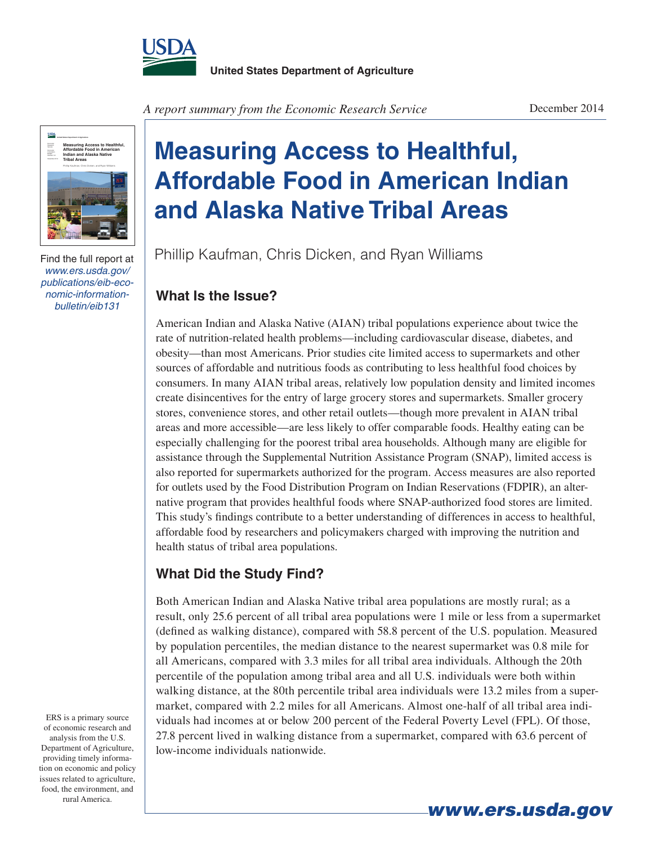



Find the full report at *www.ers.usda.gov/ publications/eib-economic-informationbulletin/eib131*

*A report summary from the Economic Research Service*

## **Measuring Access to Healthful, Affordable Food in American Indian and Alaska Native Tribal Areas**

Phillip Kaufman, Chris Dicken, and Ryan Williams

## **What Is the Issue?**

American Indian and Alaska Native (AIAN) tribal populations experience about twice the rate of nutrition-related health problems—including cardiovascular disease, diabetes, and obesity—than most Americans. Prior studies cite limited access to supermarkets and other sources of affordable and nutritious foods as contributing to less healthful food choices by consumers. In many AIAN tribal areas, relatively low population density and limited incomes create disincentives for the entry of large grocery stores and supermarkets. Smaller grocery stores, convenience stores, and other retail outlets—though more prevalent in AIAN tribal areas and more accessible—are less likely to offer comparable foods. Healthy eating can be especially challenging for the poorest tribal area households. Although many are eligible for assistance through the Supplemental Nutrition Assistance Program (SNAP), limited access is also reported for supermarkets authorized for the program. Access measures are also reported for outlets used by the Food Distribution Program on Indian Reservations (FDPIR), an alternative program that provides healthful foods where SNAP-authorized food stores are limited. This study's findings contribute to a better understanding of differences in access to healthful, affordable food by researchers and policymakers charged with improving the nutrition and health status of tribal area populations.

## **What Did the Study Find?**

Both American Indian and Alaska Native tribal area populations are mostly rural; as a result, only 25.6 percent of all tribal area populations were 1 mile or less from a supermarket (defined as walking distance), compared with 58.8 percent of the U.S. population. Measured by population percentiles, the median distance to the nearest supermarket was 0.8 mile for all Americans, compared with 3.3 miles for all tribal area individuals. Although the 20th percentile of the population among tribal area and all U.S. individuals were both within walking distance, at the 80th percentile tribal area individuals were 13.2 miles from a supermarket, compared with 2.2 miles for all Americans. Almost one-half of all tribal area individuals had incomes at or below 200 percent of the Federal Poverty Level (FPL). Of those, 27.8 percent lived in walking distance from a supermarket, compared with 63.6 percent of low-income individuals nationwide.

ERS is a primary source of economic research and analysis from the U.S. Department of Agriculture, providing timely information on economic and policy issues related to agriculture, food, the environment, and rural America.